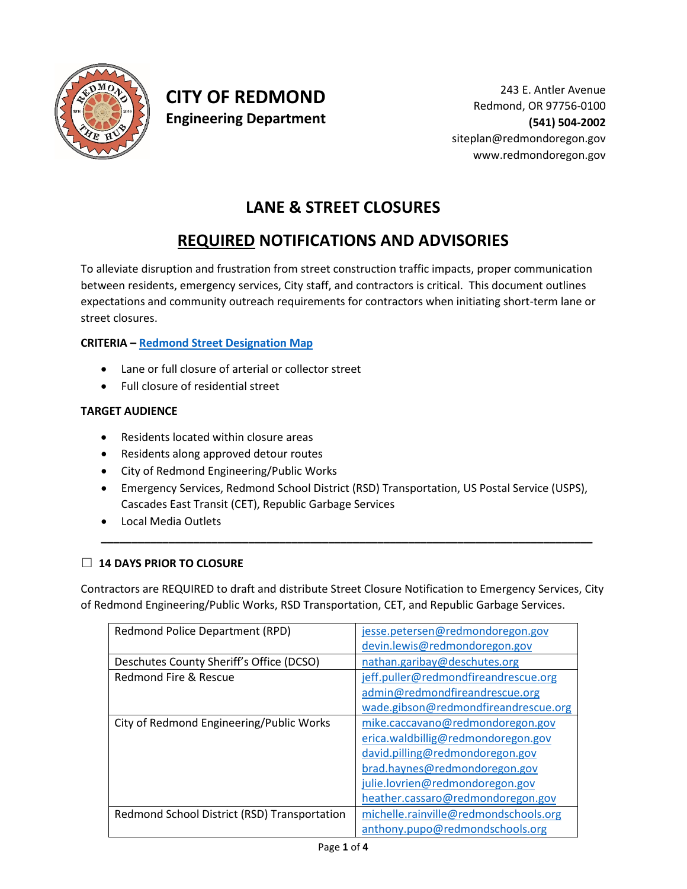

## **CITY OF REDMOND Engineering Department**

# **LANE & STREET CLOSURES**

# **REQUIRED NOTIFICATIONS AND ADVISORIES**

To alleviate disruption and frustration from street construction traffic impacts, proper communication between residents, emergency services, City staff, and contractors is critical. This document outlines expectations and community outreach requirements for contractors when initiating short-term lane or street closures.

### **CRITERIA – [Redmond Street Designation Map](http://redmondoregon.maps.arcgis.com/home/webmap/viewer.html?layers=49c02fbab8084a4794ed09c7f3646bd1)**

- Lane or full closure of arterial or collector street
- Full closure of residential street

### **TARGET AUDIENCE**

- Residents located within closure areas
- Residents along approved detour routes
- City of Redmond Engineering/Public Works
- Emergency Services, Redmond School District (RSD) Transportation, US Postal Service (USPS), Cascades East Transit (CET), Republic Garbage Services

**\_\_\_\_\_\_\_\_\_\_\_\_\_\_\_\_\_\_\_\_\_\_\_\_\_\_\_\_\_\_\_\_\_\_\_\_\_\_\_\_\_\_\_\_\_\_\_\_\_\_\_\_\_\_\_\_\_\_\_\_\_\_\_\_\_\_\_\_\_\_\_\_\_\_\_\_\_\_\_\_**

• Local Media Outlets

### ☐ **14 DAYS PRIOR TO CLOSURE**

Contractors are REQUIRED to draft and distribute Street Closure Notification to Emergency Services, City of Redmond Engineering/Public Works, RSD Transportation, CET, and Republic Garbage Services.

| Redmond Police Department (RPD)              | jesse.petersen@redmondoregon.gov      |
|----------------------------------------------|---------------------------------------|
|                                              | devin.lewis@redmondoregon.gov         |
| Deschutes County Sheriff's Office (DCSO)     | nathan.garibay@deschutes.org          |
| Redmond Fire & Rescue                        | jeff.puller@redmondfireandrescue.org  |
|                                              | admin@redmondfireandrescue.org        |
|                                              | wade.gibson@redmondfireandrescue.org  |
| City of Redmond Engineering/Public Works     | mike.caccavano@redmondoregon.gov      |
|                                              | erica.waldbillig@redmondoregon.gov    |
|                                              | david.pilling@redmondoregon.gov       |
|                                              | brad.haynes@redmondoregon.gov         |
|                                              | julie.lovrien@redmondoregon.gov       |
|                                              | heather.cassaro@redmondoregon.gov     |
| Redmond School District (RSD) Transportation | michelle.rainville@redmondschools.org |
|                                              | anthony.pupo@redmondschools.org       |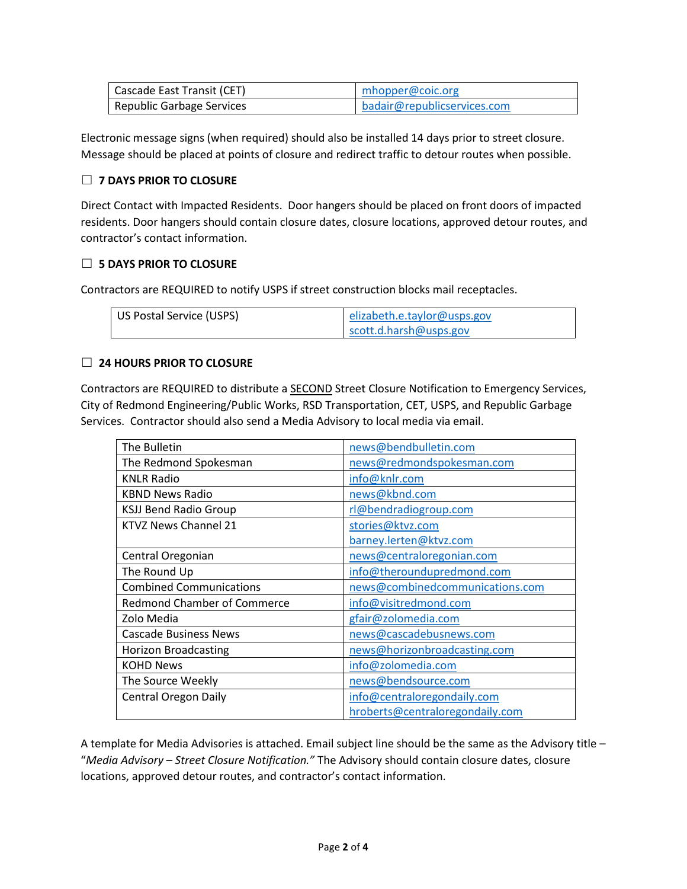| Cascade East Transit (CET) | mhopper@coic.org            |
|----------------------------|-----------------------------|
| Republic Garbage Services  | badair@republicservices.com |

Electronic message signs (when required) should also be installed 14 days prior to street closure. Message should be placed at points of closure and redirect traffic to detour routes when possible.

### ☐ **7 DAYS PRIOR TO CLOSURE**

Direct Contact with Impacted Residents. Door hangers should be placed on front doors of impacted residents. Door hangers should contain closure dates, closure locations, approved detour routes, and contractor's contact information.

### ☐ **5 DAYS PRIOR TO CLOSURE**

Contractors are REQUIRED to notify USPS if street construction blocks mail receptacles.

| US Postal Service (USPS) | elizabeth.e.taylor@usps.gov |
|--------------------------|-----------------------------|
|                          | scott.d.harsh@usps.gov      |

### ☐ **24 HOURS PRIOR TO CLOSURE**

Contractors are REQUIRED to distribute a **SECOND** Street Closure Notification to Emergency Services, City of Redmond Engineering/Public Works, RSD Transportation, CET, USPS, and Republic Garbage Services. Contractor should also send a Media Advisory to local media via email.

| The Bulletin                       | news@bendbulletin.com           |
|------------------------------------|---------------------------------|
| The Redmond Spokesman              | news@redmondspokesman.com       |
| <b>KNLR Radio</b>                  | info@knlr.com                   |
| <b>KBND News Radio</b>             | news@kbnd.com                   |
| <b>KSJJ Bend Radio Group</b>       | rl@bendradiogroup.com           |
| KTVZ News Channel 21               | stories@ktvz.com                |
|                                    | barney.lerten@ktvz.com          |
| Central Oregonian                  | news@centraloregonian.com       |
| The Round Up                       | info@theroundupredmond.com      |
| <b>Combined Communications</b>     | news@combinedcommunications.com |
| <b>Redmond Chamber of Commerce</b> | info@visitredmond.com           |
| Zolo Media                         | gfair@zolomedia.com             |
| <b>Cascade Business News</b>       | news@cascadebusnews.com         |
| <b>Horizon Broadcasting</b>        | news@horizonbroadcasting.com    |
| <b>KOHD News</b>                   | info@zolomedia.com              |
| The Source Weekly                  | news@bendsource.com             |
| <b>Central Oregon Daily</b>        | info@centraloregondaily.com     |
|                                    | hroberts@centraloregondaily.com |

A template for Media Advisories is attached. Email subject line should be the same as the Advisory title – "*Media Advisory – Street Closure Notification."* The Advisory should contain closure dates, closure locations, approved detour routes, and contractor's contact information.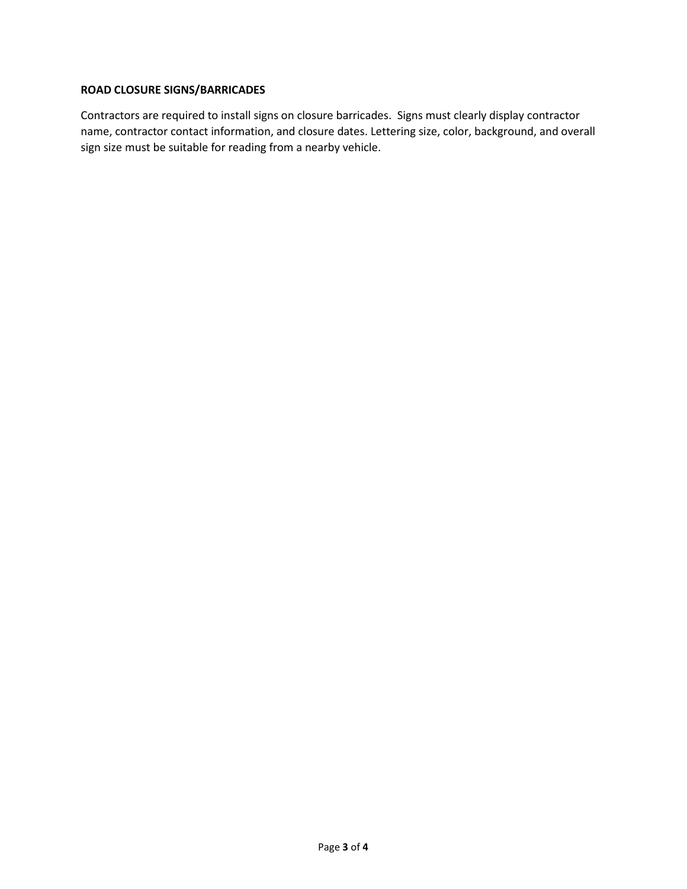### **ROAD CLOSURE SIGNS/BARRICADES**

Contractors are required to install signs on closure barricades. Signs must clearly display contractor name, contractor contact information, and closure dates. Lettering size, color, background, and overall sign size must be suitable for reading from a nearby vehicle.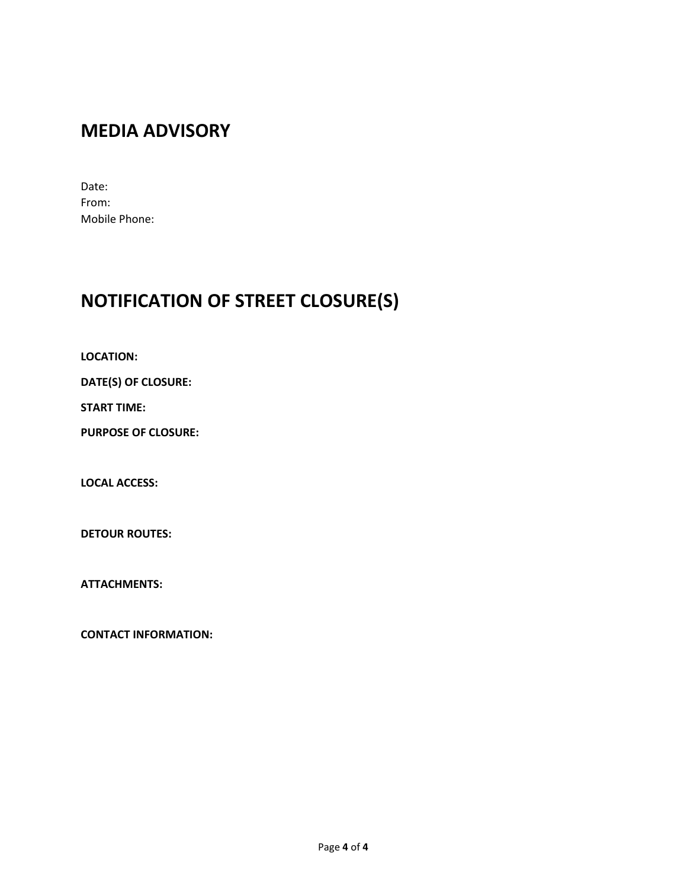# **MEDIA ADVISORY**

Date: From: Mobile Phone:

# **NOTIFICATION OF STREET CLOSURE(S)**

**LOCATION:**

**DATE(S) OF CLOSURE:**

**START TIME:**

**PURPOSE OF CLOSURE:**

**LOCAL ACCESS:**

**DETOUR ROUTES:**

**ATTACHMENTS:**

**CONTACT INFORMATION:**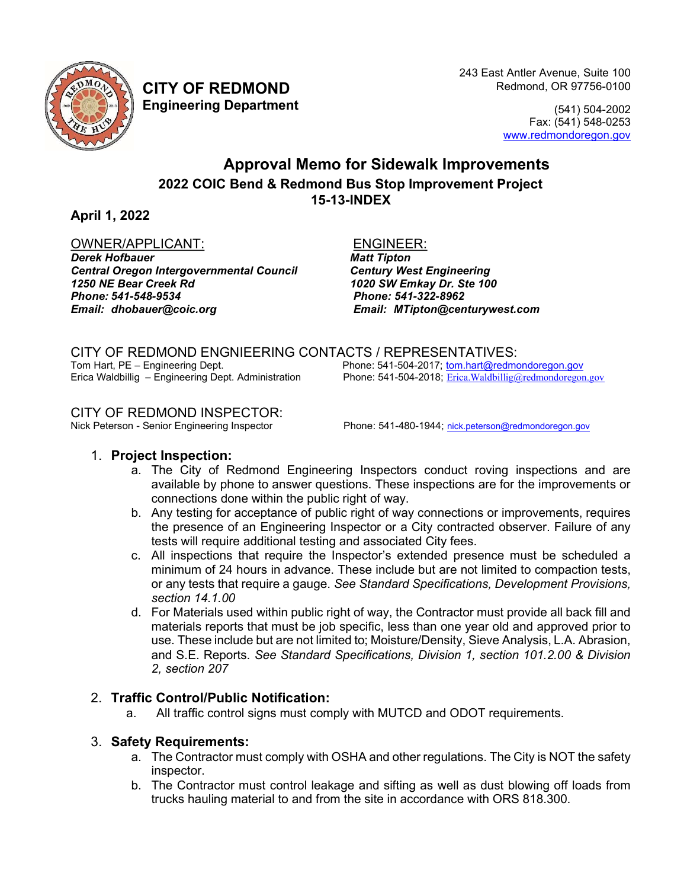

 243 East Antler Avenue, Suite 100 CITY OF REDMOND Redmond, OR 97756-0100

Engineering Department (541) 504-2002 Fax: (541) 548-0253 www.redmondoregon.gov

## Approval Memo for Sidewalk Improvements 2022 COIC Bend & Redmond Bus Stop Improvement Project 15-13-INDEX

April 1, 2022

### OWNER/APPLICANT: ENGINEER:

Derek Hofbauer Matt Tipton Central Oregon Intergovernmental Council Century West Engineering 1250 NE Bear Creek Rd 1020 SW Emkay Dr. Ste 100 Phone: 541-548-9534 Phone: 541-322-8962 Email: dhobauer@coic.org Email: MTipton@centurywest.com

CITY OF REDMOND ENGNIEERING CONTACTS / REPRESENTATIVES:<br>Tom Hart, PE – Engineering Dept. Phone: 541-504-2017; tom.hart@redmo Tom Hart, PE – Engineering Dept. <br>1991 - Frica Waldbillig – Engineering Dept. Administration Phone: 541-504-2018; Erica.Waldbillig@redmondoregon Phone: 541-504-2018; Erica Waldbillig@redmondoregon.gov

# CITY OF REDMOND INSPECTOR:<br>Nick Peterson - Senior Engineering Inspector

Phone: 541-480-1944; nick.peterson@redmondoregon.gov

### 1. Project Inspection:

- a. The City of Redmond Engineering Inspectors conduct roving inspections and are available by phone to answer questions. These inspections are for the improvements or connections done within the public right of way.
- b. Any testing for acceptance of public right of way connections or improvements, requires the presence of an Engineering Inspector or a City contracted observer. Failure of any tests will require additional testing and associated City fees.
- c. All inspections that require the Inspector's extended presence must be scheduled a minimum of 24 hours in advance. These include but are not limited to compaction tests, or any tests that require a gauge. See Standard Specifications, Development Provisions, section 14.1.00
- d. For Materials used within public right of way, the Contractor must provide all back fill and materials reports that must be job specific, less than one year old and approved prior to use. These include but are not limited to; Moisture/Density, Sieve Analysis, L.A. Abrasion, and S.E. Reports. See Standard Specifications, Division 1, section 101.2.00 & Division 2, section 207

### 2. Traffic Control/Public Notification:

a. All traffic control signs must comply with MUTCD and ODOT requirements.

### 3. Safety Requirements:

- a. The Contractor must comply with OSHA and other regulations. The City is NOT the safety inspector.
- b. The Contractor must control leakage and sifting as well as dust blowing off loads from trucks hauling material to and from the site in accordance with ORS 818.300.